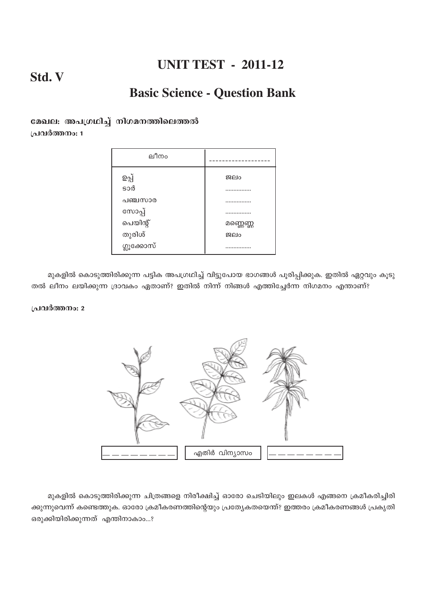# Std. V

# **Basic Science - Question Bank**

### മേഖല: അപഗ്രഥിച്ച് നിഗമനത്തിലെത്തൽ പ്രവർത്തനം: 1

| ലീനം               |                 |  |
|--------------------|-----------------|--|
| ഉപ്പ്              | ജലം             |  |
| sod                | .               |  |
| പഞ്ചസാര            | .               |  |
| സോപ്പ്<br>പെയിന്റ് | .               |  |
| തുരിശ്             | മണ്ണെണ്ണ<br>BQO |  |
| ഗ്ലൂക്കോസ്         | .               |  |

മുകളിൽ കൊടുത്തിരിക്കുന്ന പട്ടിക അപഗ്രഥിച്ച് വിട്ടുപോയ ഭാഗങ്ങൾ പൂരിപ്പിക്കുക. ഇതിൽ ഏറ്റവും കൂടു തൽ ലീനം ലയിക്കുന്ന ദ്രാവകം ഏതാണ്? ഇതിൽ നിന്ന് നിങ്ങൾ എത്തിച്ചേർന്ന നിഗമനം എന്താണ്?

### പ്രവർത്തനം: 2



മുകളിൽ കൊടുത്തിരിക്കുന്ന ചിത്രങ്ങളെ നിരീക്ഷിച്ച് ഓരോ ചെടിയിലും ഇലകൾ എങ്ങനെ ക്രമീകരിച്ചിരി ക്കുന്നുവെന്ന് കണ്ടെത്തുക. ഓരോ ക്രമീകരണത്തിന്റെയും പ്രത്യേകതയെന്ത്? ഇത്തരം ക്രമീകരണങ്ങൾ പ്രകൃതി ഒരുക്കിയിരിക്കുന്നത് എന്തിനാകാം...?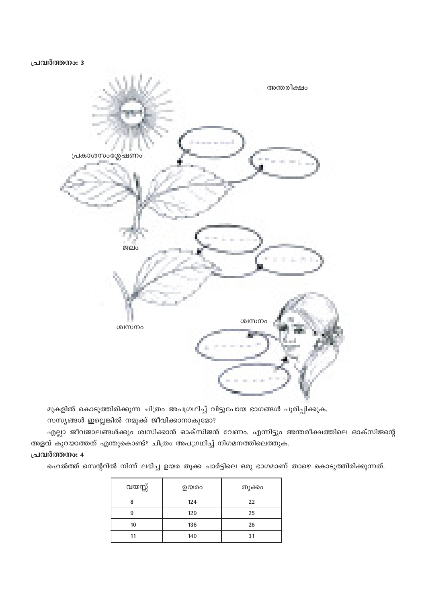### പ്രവർത്തനം: 3



മുകളിൽ കൊടുത്തിരിക്കുന്ന ചിത്രം അപഗ്രഥിച്ച് വിട്ടുപോയ ഭാഗങ്ങൾ പൂരിപ്പിക്കുക.

സസ്യങ്ങൾ ഇല്ലെങ്കിൽ നമുക്ക് ജീവിക്കാനാകുമോ?

എല്ലാ ജീവജാലങ്ങൾക്കും ശ്വസിക്കാൻ ഓക്സിജൻ വേണം. എന്നിട്ടും അന്തരീക്ഷത്തിലെ ഓക്സിജന്റെ അളവ് കുറയാത്തത് എന്തുകൊണ്ട്? ചിത്രം അപഗ്രഥിച്ച് നിഗമനത്തിലെത്തുക.

### പ്രവർത്തനം: 4

ഹെൽത്ത് സെന്ററിൽ നിന്ന് ലഭിച്ച ഉയര തൂക്ക ചാർട്ടിലെ ഒരു ഭാഗമാണ് താഴെ കൊടുത്തിരിക്കുന്നത്.

| വയസ്സ് | ഉയരം | തൂക്കം |
|--------|------|--------|
| о      | 124  | 22     |
| q      | 129  | 25     |
| 10     | 136  | 26     |
| 11     | 140  | 31     |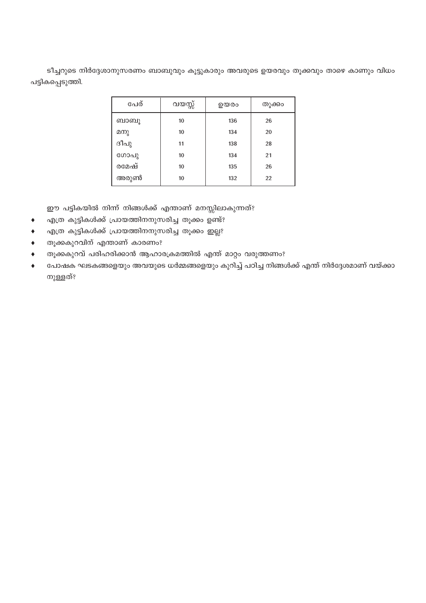ടീച്ചറുടെ നിർദ്ദേശാനുസരണം ബാബുവും കൂട്ടുകാരും അവരുടെ ഉയരവും തൂക്കവും താഴെ കാണും വിധം പട്ടികപ്പെടുത്തി.

| പേര്  | വയസ്സ് | ഉയരം | തുക്കം |
|-------|--------|------|--------|
| ബാബു  | 10     | 136  | 26     |
| മനു   | 10     | 134  | 20     |
| ദീപു  | 11     | 138  | 28     |
| ഗോപു  | 10     | 134  | 21     |
| രമേഷ് | 10     | 135  | 26     |
| അരുൺ  | 10     | 132  | 22     |

ഈ പട്ടികയിൽ നിന്ന് നിങ്ങൾക്ക് എന്താണ് മനസ്സിലാകുന്നത്?

- എത്ര കുട്ടികൾക്ക് പ്രായത്തിനനുസരിച്ച തൂക്കം ഉണ്ട്?  $\bullet$
- എത്ര കുട്ടികൾക്ക് പ്രായത്തിനനുസരിച്ച തൂക്കം ഇല്ല?  $\blacklozenge$
- തൂക്കകുറവിന് എന്താണ് കാരണം?  $\blacklozenge$
- തൂക്കകുറവ് പരിഹരിക്കാൻ ആഹാരക്രമത്തിൽ എന്ത് മാറ്റം വരുത്തണം?  $\blacklozenge$
- പോഷക ഘടകങ്ങളെയും അവയുടെ ധർമ്മങ്ങളെയും കുറിച്ച് പഠിച്ച നിങ്ങൾക്ക് എന്ത് നിർദ്ദേശമാണ് വയ്ക്കാ  $\ddot{\bullet}$ നുള്ളത്?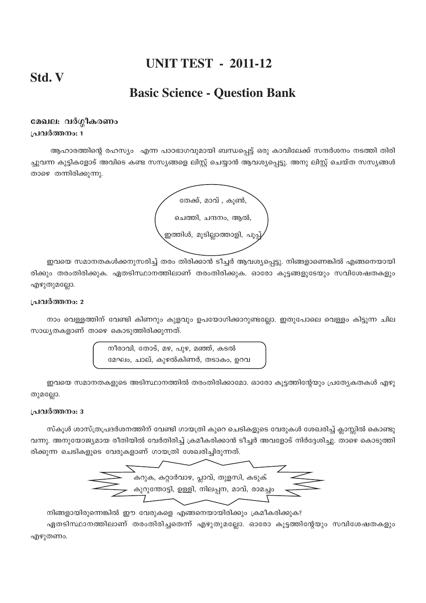## Std. V

## **Basic Science - Question Bank**

### മേഖല: വർഗ്ഗീകരണം പ്രവർത്തനം: 1

ആഹാരത്തിന്റെ രഹസ്യം എന്ന പാഠഭാഗവുമായി ബന്ധപ്പെട്ട് ഒരു കാവിലേക്ക് സന്ദർശനം നടത്തി തിരി ച്ചുവന്ന കുട്ടികളോട് അവിടെ കണ്ട സസ്യങ്ങളെ ലിസ്റ്റ് ചെയ്യാൻ ആവശ്യപ്പെട്ടു. അനു ലിസ്റ്റ് ചെയ്ത സസ്യങ്ങൾ താഴെ തന്നിരിക്കുന്നു.



ഇവയെ സമാനതകൾക്കനുസരിച്ച് തരം തിരിക്കാൻ ടീച്ചർ ആവശ്യപ്പെട്ടു. നിങ്ങളാണെങ്കിൽ എങ്ങനെയായി രിക്കും തരംതിരിക്കുക. ഏതടിസ്ഥാനത്തിലാണ് തരംതിരിക്കുക. ഓരോ കൂട്ടങ്ങളുടേയും സവിശേഷതകളും എഴുതുമല്ലോ.

### പ്രവർത്തനം: 2

നാം വെള്ളത്തിന് വേണ്ടി കിണറും കുളവും ഉപയോഗിക്കാറുണ്ടല്ലോ. ഇതുപോലെ വെള്ളം കിട്ടുന്ന ചില സാധ്യതകളാണ് താഴെ കൊടുത്തിരിക്കുന്നത്.

> നീരാവി, തോട്, മഴ, പുഴ, മഞ്ഞ്, കടൽ മേഘം, ചാല്, കുഴൽകിണർ, തടാകം, ഉറവ

ഇവയെ സമാനതകളുടെ അടിസ്ഥാനത്തിൽ തരംതിരിക്കാമോ. ഓരോ കൂട്ടത്തിന്റേയും പ്രത്യേകതകൾ എഴു തുമല്ലോ.

### പ്രവർത്തനം: 3

സ്കൂൾ ശാസ്ത്രപ്രദർശനത്തിന് വേണ്ടി ഗായത്രി കുറെ ചെടികളുടെ വേരുകൾ ശേഖരിച്ച് ക്ലാസ്സിൽ കൊണ്ടു വന്നു. അനുയോജ്യമായ രീതിയിൽ വേർതിരിച്ച് ക്രമീകരിക്കാൻ ടീച്ചർ അവളോട് നിർദ്ദേശിച്ചു. താഴെ കൊടുത്തി രിക്കുന്ന ചെടികളുടെ വേരുകളാണ് ഗായത്രി ശേഖരിച്ചിരുന്നത്.

നിങ്ങളായിരുന്നെങ്കിൽ ഈ വേരുകളെ എങ്ങനെയായിരിക്കും ക്രമീകരിക്കുക?

ഏതടിസ്ഥാനത്തിലാണ് തരംതിരിച്ചതെന്ന് എഴുതുമല്ലോ. ഓരോ കൂട്ടത്തിന്റേയും സവിശേഷതകളും എഴുതണം.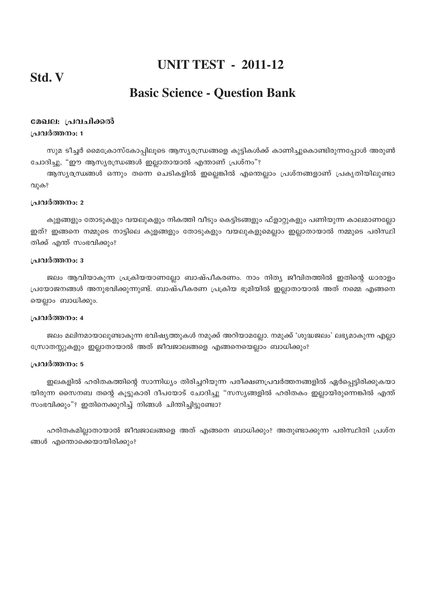## Std. V

# **Basic Science - Question Bank**

### മേഖല: പ്രവചിക്കൽ പ്രവർത്തനം: 1

സുമ ടീച്ചർ മൈക്രോസ്കോപ്പിലൂടെ ആസ്യരന്ധ്രങ്ങളെ കുട്ടികൾക്ക് കാണിച്ചുകൊണ്ടിരുന്നപ്പോൾ അരുൺ ചോദിച്ചു, "ഈ ആസ്യരന്ധ്രങ്ങൾ ഇല്ലാതായാൽ എന്താണ് പ്രശ്നം"?

ആസ്യരന്ധങ്ങൾ ഒന്നും തന്നെ ചെടികളിൽ ഇല്ലെങ്കിൽ എന്തെല്ലാം പ്രശ്നങ്ങളാണ് പ്രകൃതിയിലുണ്ടാ വുക?

#### പ്രവർത്തനം: 2

കുളങ്ങളും തോടുകളും വയലുകളും നികത്തി വീടും കെട്ടിടങ്ങളും ഫ്ളാറ്റുകളും പണിയുന്ന കാലമാണല്ലോ ഇത്? ഇങ്ങനെ നമ്മുടെ നാട്ടിലെ കുളങ്ങളും തോടുകളും വയലുകളുമെല്ലാം ഇല്ലാതായാൽ നമ്മുടെ പരിസ്ഥി തിക്ക് എന്ത് സംഭവിക്കും?

#### പ്രവർത്തനം: 3

ജലം ആവിയാകുന്ന പ്രക്രിയയാണല്ലോ ബാഷ്പീകരണം. നാം നിത്യ ജീവിതത്തിൽ ഇതിന്റെ ധാരാളം പ്രയോജനങ്ങൾ അനുഭവിക്കുന്നുണ്ട്. ബാഷ്പീകരണ പ്രക്രിയ ഭൂമിയിൽ ഇല്ലാതായാൽ അത് നമ്മെ എങ്ങനെ യെല്ലാം ബാധിക്കും.

### പ്രവർത്തനം: 4

ജലം മലിനമായാലുണ്ടാകുന്ന ഭവിഷ്യത്തുകൾ നമുക്ക് അറിയാമല്ലോ. നമുക്ക് 'ശുദ്ധജലം' ലഭ്യമാകുന്ന എല്ലാ സ്രോതസ്സുകളും ഇല്ലാതായാൽ അത് ജീവജാലങ്ങളെ എങ്ങനെയെല്ലാം ബാധിക്കും?

#### പ്രവർത്തനം: 5

ഇലകളിൽ ഹരിതകത്തിന്റെ സാന്നിധ്യം തിരിച്ചറിയുന്ന പരീക്ഷണപ്രവർത്തനങ്ങളിൽ ഏർപ്പെട്ടിരിക്കുകയാ യിരുന്ന സൈനബ തന്റെ കൂട്ടുകാരി ദീപയോട് ചോദിച്ചു "സസ്യങ്ങളിൽ ഹരിതകം ഇല്ലായിരുന്നെങ്കിൽ എന്ത് സംഭവിക്കും"? ഇതിനെക്കുറിച്ച് നിങ്ങൾ ചിന്തിച്ചിട്ടുണ്ടോ?

ഹരിതകമില്ലാതായാൽ ജീവജാലങ്ങളെ അത് എങ്ങനെ ബാധിക്കും? അതുണ്ടാക്കുന്ന പരിസ്ഥിതി പ്രശ്ന ങ്ങൾ എന്തൊക്കെയായിരിക്കും?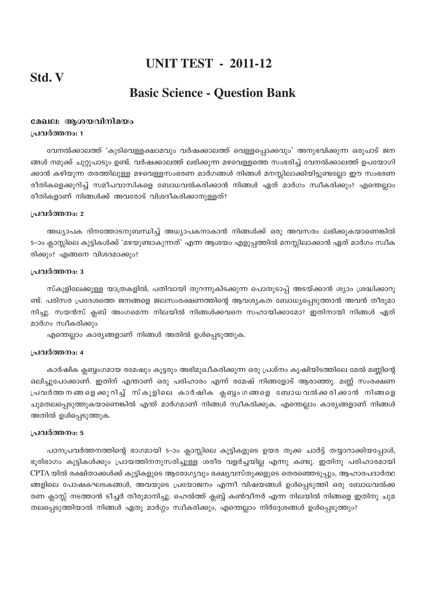## Std. V

### **IJNIT TEST - 2011-12**

## **Basic Science - Question Bank**

### മേഖല: ആശയവിനിമയം പ്രവർത്തനം: 1

വേനൽക്കാലത്ത് 'കുടിവെള്ളക്ഷാമവും വർഷക്കാലത്ത് വെള്ളപ്പൊക്കവും' അനുഭവിക്കുന്ന ഒരുപാട് ജന ങ്ങൾ നമുക്ക് ചുറ്റുപാടും ഉണ്ട്. വർഷക്കാലത്ത് ലഭിക്കുന്ന മഴവെള്ളത്തെ സംഭരിച്ച് വേനൽക്കാലത്ത് ഉപയോഗി ക്കാൻ കഴിയുന്ന തരത്തിലുള്ള മഴവെള്ളസംഭരണ മാർഗങ്ങൾ നിങ്ങൾ മനസ്സിലാക്കിയിട്ടുണ്ടല്ലോ ഈ സംഭരണ രീതികളെക്കുറിച്ച് സമീപവാസികളെ ബോധവൽകരിക്കാൻ നിങ്ങൾ ഏത് മാർഗം സ്വീകരിക്കും? എന്തെല്ലാം രീതികളാണ് നിങ്ങൾക്ക് അവരോട് വിശദീകരിക്കാനുള്ളത്?

#### പ്രവർത്തനം: 2

അധ്യാപക ദിനത്തോടനുബന്ധിച്ച് അധ്യാപകനാകാൻ നിങ്ങൾക്ക് ഒരു അവസരം ലഭിക്കുകയാണെങ്കിൽ 5–ാം ക്ലാസ്സിലെ കുട്ടികൾക്ക് 'മഴയുണ്ടാകുന്നത്' എന്ന ആശയം എളുപ്പത്തിൽ മനസ്സിലാക്കാൻ ഏത് മാർഗം സ്വീക രിക്കും? എങ്ങനെ വിശദമാക്കും?

#### ം ഥർത്തനം: 3

സ്കൂളിലേക്കുള്ള യാത്രകളിൽ, പതിവായി തുറന്നുകിടക്കുന്ന പൊതുടാപ്പ് അടയ്ക്കാൻ ശ്യാം ശ്രദ്ധിക്കാറു ണ്ട്. പരിസര പ്രദേശത്തെ ജനങ്ങളെ ജലസംരക്ഷണത്തിന്റെ ആവശ്യകത ബോധ്യപ്പെടുത്താൻ അവൻ തീരുമാ നിച്ചു. സയൻസ് ക്ലബ് അംഗമെന്ന നിലയിൽ നിങ്ങൾക്കവനെ സഹായിക്കാമോ? ഇതിനായി നിങ്ങൾ ഏത് മാർഗം സ്വീകരിക്കും

എന്തെല്ലാം കാര്യങ്ങളാണ് നിങ്ങൾ അതിൽ ഉൾപ്പെടുത്തുക.

### പ്രവർത്തനം: 4

കാർഷിക ക്ലബ്ബംഗമായ രമേഷും കൂട്ടരും അഭിമുഖീകരിക്കുന്ന ഒരു പ്രശ്നം കൃഷിയിടത്തിലെ മേൽ മണ്ണിന്റെ ഒലിച്ചുപോക്കാണ്. ഇതിന് എന്താണ് ഒരു പരിഹാരം എന്ന് രമേഷ് നിങ്ങളോട് ആരാഞ്ഞു. മണ് സംരക്ഷണ പ്രവർത്ത നങ്ങളെ ക്കുറിച്ച് സ്കൂളിലെ കാർഷിക ക്ലബ്ബംഗങ്ങളെ ബോധവൽക്കരിക്കാൻ നിങ്ങളെ ചുമതലപ്പെടുത്തുകയാണെങ്കിൽ എന്ത് മാർഗമാണ് നിങ്ങൾ സ്വീകരിക്കുക. എന്തെല്ലാം കാര്യങ്ങളാണ് നിങ്ങൾ അതിൽ ഉൾപ്പെടുത്തുക.

#### പ്രവർത്തനം: 5

പഠനപ്രവർത്തനത്തിന്റെ ഭാഗമായി 5-ാം ക്ലാസ്സിലെ കുട്ടികളുടെ ഉയര തൂക്ക ചാർട്ട് തയ്യാറാക്കിയപ്പോൾ, ഭൂരിഭാഗം കുട്ടികൾക്കും പ്രായത്തിനനുസരിച്ചുള്ള ശരീര വളർച്ചയില്ല എന്നു കണ്ടു. ഇതിനു പരിഹാരമായി CPTA യിൽ രക്ഷിതാക്കൾക്ക് കുട്ടികളുടെ ആരോഗ്യവും ഭക്ഷ്യവസ്തുക്കളുടെ തെരഞ്ഞെടുപ്പും, ആഹാരപദാർത്ഥ ങ്ങളിലെ പോഷകഘടകങ്ങൾ, അവയുടെ പ്രയോജനം എന്നീ വിഷയങ്ങൾ ഉൾപ്പെടുത്തി ഒരു ബോധവൽക്ക രണ ക്ലാസ്സ് നടത്താൻ ടീച്ചർ തീരുമാനിച്ചു. ഹെൽത്ത് ക്ലബ്ബ് കൺവീനർ എന്ന നിലയിൽ നിങ്ങളെ ഇതിനു ചുമ തലപ്പെടുത്തിയാൽ നിങ്ങൾ ഏതു മാർഗ്ഗം സ്ഥീകരിക്കും, എന്തെല്ലാം നിർദ്ദേശങ്ങൾ ഉൾപ്പെടുത്തും?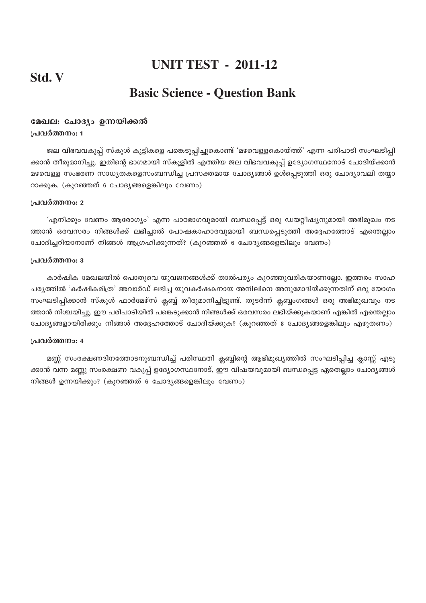## **Std. V**

# **UNIT TEST - 2011-12**

# **Basic Science - Question Bank**

### മേഖല: ചോദ്യം ഉന്നയിക്കൽ **പ്രവർത്തനം:** 1

ജല വിഭവവകുപ്പ് സ്കൂൾ കുട്ടികളെ പങ്കെടുപ്പിച്ചുകൊണ്ട് 'മഴവെള്ളകൊയ്ത്ത്' എന്ന പരിപാടി സംഘടിപ്പി ക്കാൻ തീരുമാനിച്ചു. ഇതിന്റെ ഭാഗമായി സ്കുളിൽ എത്തിയ ജല വിഭവവകുപ് ഉദ്യോഗസ്ഥനോട് ചോദിയ്ക്കാൻ മഴവെള്ള സംഭരണ സാധ്യതകളെസംബന്ധിച്ച പ്രസക്തമായ ചോദ്യങ്ങൾ ഉൾപ്പെടുത്തി ഒരു ചോദ്യാവലി തയ്യാ  $\Omega$ ക്കുക. (കുറഞ്ഞത് 6 ചോദ്യങ്ങളെങ്കിലും വേണം)

### <u> {പവർത്തനം: 2</u>

'എനിക്കും വേണം ആരോഗ്യം' എന്ന പാഠഭാഗവുമായി ബന്ധപ്പെട്ട് ഒരു ഡയറ്റീഷ്യനുമായി അഭിമുഖം നട ത്താൻ ഒരവസരം നിങ്ങൾക്ക് ലഭിച്ചാൽ പോഷകാഹാരവുമായി ബന്ധപ്പെടുത്തി അദ്ദേഹത്തോട് എന്തെല്ലാം ചോദിച്ചറിയാനാണ് നിങ്ങൾ ആഗ്രഹിക്കുന്നത്? (കുറഞ്ഞത് 6 ചോദ്യങ്ങളെങ്കിലും വേണം)

#### **പ്രവർത്തനം**: 3

കാർഷിക മേഖലയിൽ പൊതുവെ യുവജനങ്ങൾക്ക് താൽപര്യം കുറഞ്ഞുവരികയാണല്ലോ. ഇത്തരം സാഹ ചര്യത്തിൽ 'കർഷികമിത്ര' അവാർഡ് ലഭിച്ച യുവകർഷകനായ അനിലിനെ അനുമോദിയ്ക്കുന്നതിന് ഒരു യോഗം സംഘടിപ്പിക്കാൻ സ്കൂൾ ഫാർമേഴ്സ് ക്ലബ്ബ് തീരുമാനിച്ചിട്ടുണ്ട്. തുടർന്ന് ക്ലബ്ബംഗങ്ങൾ ഒരു അഭിമുഖവും നട ത്താൻ നിശ്ചയിച്ചു. ഈ പരിപാടിയിൽ പങ്കെടുക്കാൻ നിങ്ങൾക്ക് ഒരവസരം ലഭിയ്ക്കുകയാണ് എങ്കിൽ എന്തെല്ലാം ്ചോദ്യങ്ങളായിരിക്കും നിങ്ങൾ അദ്ദേഹത്തോട് ചോദിയ്ക്കുക? (കുറഞ്ഞത് 8 ചോദ്യങ്ങളെങ്കിലും എഴുതണം)

### **പ്രവർത്തനം:** 4

മണ്ണ് സംരക്ഷണദിനത്തോടനുബന്ധിച്ച് പരിസ്ഥതി ക്ലബ്ബിന്റെ ആഭിമുഖ്യത്തിൽ സംഘടിപ്പിച്ച ക്ലാസ്സ് എടു ക്കാൻ വന്ന മണ്ണു സംരക്ഷണ വകുപ്പ് ഉദ്യോഗസ്ഥനോട്, ഈ വിഷയവുമായി ബന്ധപ്പെട്ട ഏതെല്ലാം ചോദ്യങ്ങൾ നിങ്ങൾ ഉന്നയിക്കും? (കുറഞ്ഞത് 6 ചോദ്യങ്ങളെങ്കിലും വേണം)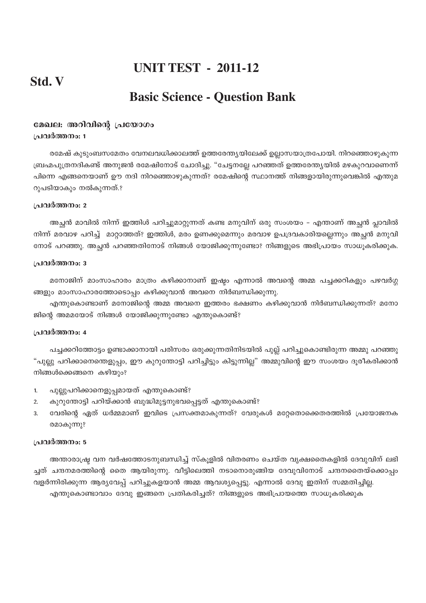## **Std. V**

## **Basic Science - Question Bank**

### മേഖല: അറിവിന്റെ പ്രയോഗം **പ്രവർത്തനം:** 1

രമേഷ് കുടുംബസമേതം വേനലവധിക്കാലത്ത് ഉത്തരേന്തൃയിലേക്ക് ഉല്ലാസയാത്രപോയി. നിറഞ്ഞൊഴുകുന്ന (ബഹ്മപുത്രനദികണ്ട് അനുജൻ രമേഷിനോട് ചോദിച്ചു. "ചേട്ടനല്ലേ പറഞ്ഞത് ഉത്തരേന്ത്യയിൽ മഴകുറവാണെന്ന് പിന്നെ എങ്ങനെയാണ് ഊ നദി നിറഞ്ഞൊഴുകുന്നത്? രമേഷിന്റെ സ്ഥാനത്ത് നിങ്ങളായിരുന്നുവെങ്കിൽ എന്തുമ  $Q_1$ പടിയാകും നൽകുന്നത്.?

#### **<u>പ്രവർത്തനം: 2</u>**

അച്ഛൻ മാവിൽ നിന്ന് ഇത്തിൾ പറിച്ചുമാറ്റുന്നത് കണ്ട മനുവിന് ഒരു സംശയം – എന്താണ് അച്ഛൻ പ്ലാവിൽ നിന്ന് മരവാഴ പറിച്ച് മാറ്റാത്തത്? ഇത്തിൾ, മരം ഉണക്കുമെന്നും മരവാഴ ഉപദ്രവകാരിയല്ലെന്നും അച്ഛൻ മനുവി നോട് പറഞ്ഞു. അച്ഛൻ പറഞ്ഞതിനോട് നിങ്ങൾ യോജിക്കുന്നുണ്ടോ? നിങ്ങളുടെ അഭിപ്രായം സാധൂകരിക്കുക.

### **{പവർത്തനം: 3**

മനോജിന് മാംസാഹാരം മാത്രം കഴിക്കാനാണ് ഇഷ്ടം എന്നാൽ അവന്റെ അമ്മ പച്ചക്കറികളും പഴവർഗ്ഗ ങ്ങളും മാംസാഹാരത്തോടൊപ്പം കഴിക്കുവാൻ അവനെ നിർബന്ധിക്കുന്നു.

എന്തുകൊണ്ടാണ് മനോജിന്റെ അമ്മ അവനെ ഇത്തരം ഭക്ഷണം കഴിക്കുവാൻ നിർബന്ധിക്കുന്നത്? മനോ ജിന്റെ അമമയോട് നിങ്ങൾ യോജിക്കുന്നുണ്ടോ എന്തുകൊണ്ട്?

### **പ്രവർത്തനം: 4**

പച്ചക്കറിത്തോട്ടം ഉണ്ടാക്കാനായി പരിസരം ഒരുക്കുന്നതിനിടയിൽ പുല്ല് പറിച്ചുകൊണ്ടിരുന്ന അമ്മു പറഞ്ഞു "പുല്ലു പറിക്കാനെന്തെളുപ്പം, ഈ കുറുന്തോട്ടി പറിച്ചിട്ടും കിട്ടുന്നില്ല" അമ്മുവിന്റെ ഈ സംശയം ദൂരീകരിക്കാൻ നിങ്ങൾക്കെങ്ങനെ കഴിയും?

- 1. പുല്ലുപറിക്കാനെളുപ്പമായത് എന്തുകൊണ്ട്?
- 2. കുറുന്തോട്ടി പറിയ്ക്കാൻ ബുദ്ധിമുട്ടനുഭവപ്പെട്ടത് എന്തുകൊണ്ട്?
- 3. വേരിന്റെ ഏത് ധർമ്മമാണ് ഇവിടെ പ്രസക്തമാകുന്നത്? വേരുകൾ മറ്റേതൊക്കെതരത്തിൽ പ്രയോജനക രമാകുന്നു?

### **{]h¿Ø\w: 5**

അന്താരാഷ്ട്ര വന വർഷത്തോടനുബന്ധിച്ച് സ്കുളിൽ വിതരണം ചെയ്ത വൃക്ഷതൈകളിൽ ദേവുവിന് ലഭി ച്ചത് ചന്ദനമരത്തിന്റെ തൈ ആയിരുന്നു. വീട്ടിലെത്തി നടാനൊരുങ്ങിയ ദേവുവിനോട് ചന്ദനതൈയ്ക്കൊപ്പം വളർന്നിരിക്കുന്ന ആര്യവേപ്പ് പറിച്ചുകളയാൻ അമ്മ ആവശ്യപ്പെട്ടു. എന്നാൽ ദേവു ഇതിന് സമ്മതിച്ചില്ല. എന്തുകൊണ്ടാവാം ദേവു ഇങ്ങനെ പ്രതികരിച്ചത്? നിങ്ങളുടെ അഭിപ്രായത്തെ സാധൂകരിക്കുക